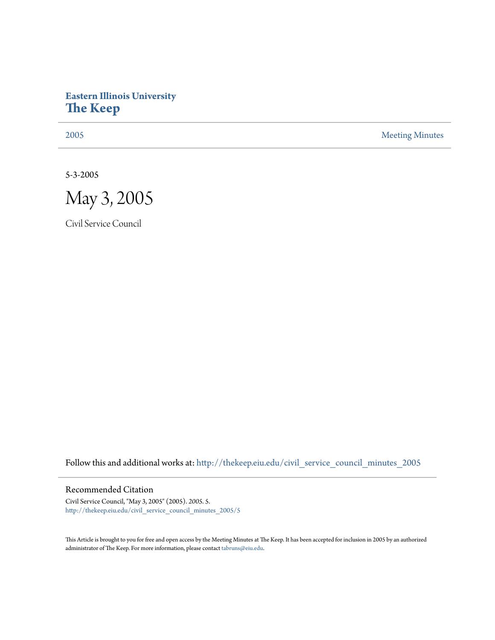# **Eastern Illinois University [The Keep](http://thekeep.eiu.edu?utm_source=thekeep.eiu.edu%2Fcivil_service_council_minutes_2005%2F5&utm_medium=PDF&utm_campaign=PDFCoverPages)**

[2005](http://thekeep.eiu.edu/civil_service_council_minutes_2005?utm_source=thekeep.eiu.edu%2Fcivil_service_council_minutes_2005%2F5&utm_medium=PDF&utm_campaign=PDFCoverPages) [Meeting Minutes](http://thekeep.eiu.edu/civil_service_council_minutes?utm_source=thekeep.eiu.edu%2Fcivil_service_council_minutes_2005%2F5&utm_medium=PDF&utm_campaign=PDFCoverPages)

5-3-2005



Civil Service Council

Follow this and additional works at: [http://thekeep.eiu.edu/civil\\_service\\_council\\_minutes\\_2005](http://thekeep.eiu.edu/civil_service_council_minutes_2005?utm_source=thekeep.eiu.edu%2Fcivil_service_council_minutes_2005%2F5&utm_medium=PDF&utm_campaign=PDFCoverPages)

### Recommended Citation

Civil Service Council, "May 3, 2005" (2005). *2005*. 5. [http://thekeep.eiu.edu/civil\\_service\\_council\\_minutes\\_2005/5](http://thekeep.eiu.edu/civil_service_council_minutes_2005/5?utm_source=thekeep.eiu.edu%2Fcivil_service_council_minutes_2005%2F5&utm_medium=PDF&utm_campaign=PDFCoverPages)

This Article is brought to you for free and open access by the Meeting Minutes at The Keep. It has been accepted for inclusion in 2005 by an authorized administrator of The Keep. For more information, please contact [tabruns@eiu.edu.](mailto:tabruns@eiu.edu)